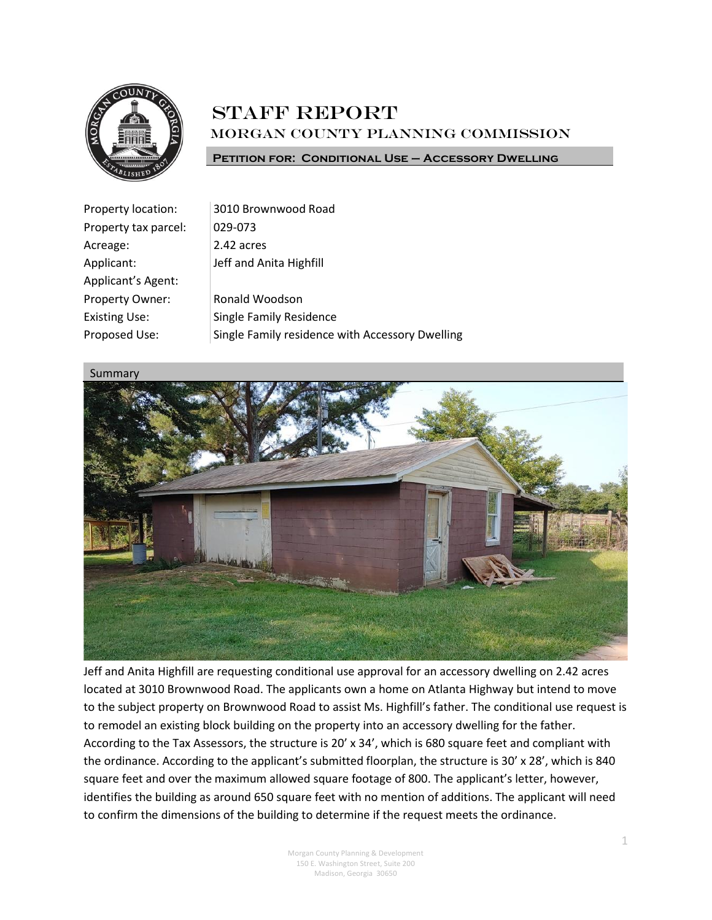

## **STAFF REPORT** Morgan County Planning Commission

**Petition for: Conditional Use – Accessory Dwelling**

| Property location:   | 3010 Brownwood Road                             |
|----------------------|-------------------------------------------------|
| Property tax parcel: | 029-073                                         |
| Acreage:             | 2.42 acres                                      |
| Applicant:           | Jeff and Anita Highfill                         |
| Applicant's Agent:   |                                                 |
| Property Owner:      | Ronald Woodson                                  |
| <b>Existing Use:</b> | <b>Single Family Residence</b>                  |
| Proposed Use:        | Single Family residence with Accessory Dwelling |



Jeff and Anita Highfill are requesting conditional use approval for an accessory dwelling on 2.42 acres located at 3010 Brownwood Road. The applicants own a home on Atlanta Highway but intend to move to the subject property on Brownwood Road to assist Ms. Highfill's father. The conditional use request is to remodel an existing block building on the property into an accessory dwelling for the father. According to the Tax Assessors, the structure is 20' x 34', which is 680 square feet and compliant with the ordinance. According to the applicant's submitted floorplan, the structure is 30' x 28', which is 840 square feet and over the maximum allowed square footage of 800. The applicant's letter, however, identifies the building as around 650 square feet with no mention of additions. The applicant will need to confirm the dimensions of the building to determine if the request meets the ordinance.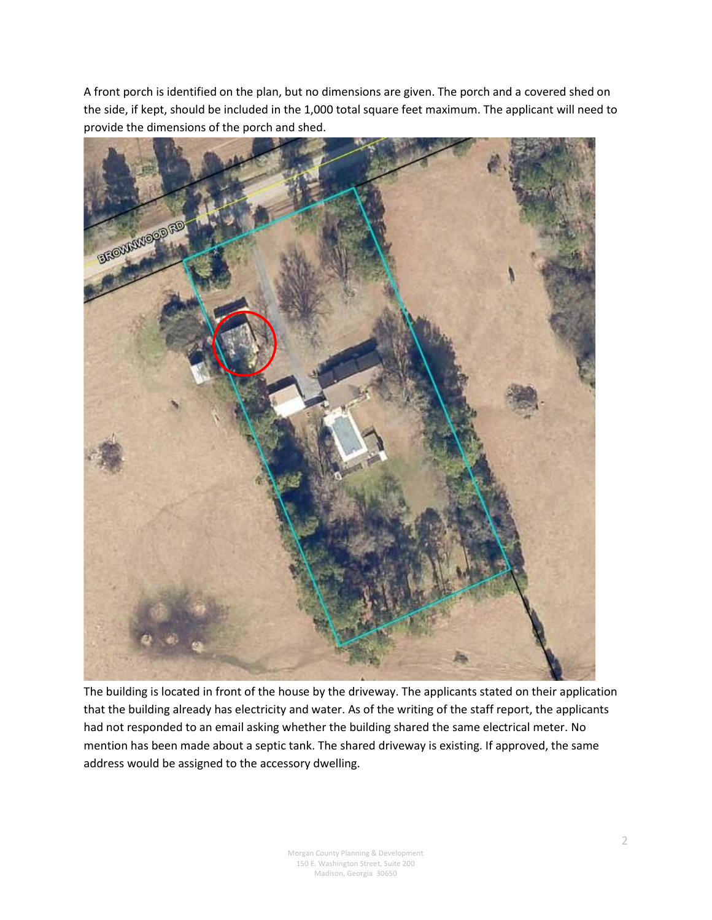A front porch is identified on the plan, but no dimensions are given. The porch and a covered shed on the side, if kept, should be included in the 1,000 total square feet maximum. The applicant will need to provide the dimensions of the porch and shed.



The building is located in front of the house by the driveway. The applicants stated on their application that the building already has electricity and water. As of the writing of the staff report, the applicants had not responded to an email asking whether the building shared the same electrical meter. No mention has been made about a septic tank. The shared driveway is existing. If approved, the same address would be assigned to the accessory dwelling.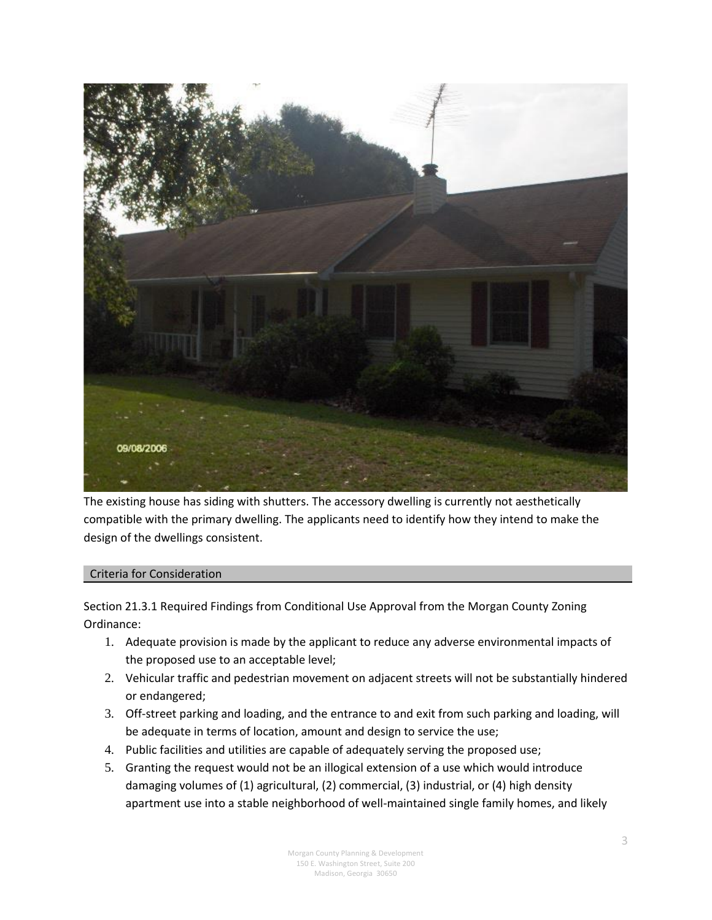

The existing house has siding with shutters. The accessory dwelling is currently not aesthetically compatible with the primary dwelling. The applicants need to identify how they intend to make the design of the dwellings consistent.

## Criteria for Consideration

Section 21.3.1 Required Findings from Conditional Use Approval from the Morgan County Zoning Ordinance:

- 1. Adequate provision is made by the applicant to reduce any adverse environmental impacts of the proposed use to an acceptable level;
- 2. Vehicular traffic and pedestrian movement on adjacent streets will not be substantially hindered or endangered;
- 3. Off-street parking and loading, and the entrance to and exit from such parking and loading, will be adequate in terms of location, amount and design to service the use;
- 4. Public facilities and utilities are capable of adequately serving the proposed use;
- 5. Granting the request would not be an illogical extension of a use which would introduce damaging volumes of (1) agricultural, (2) commercial, (3) industrial, or (4) high density apartment use into a stable neighborhood of well-maintained single family homes, and likely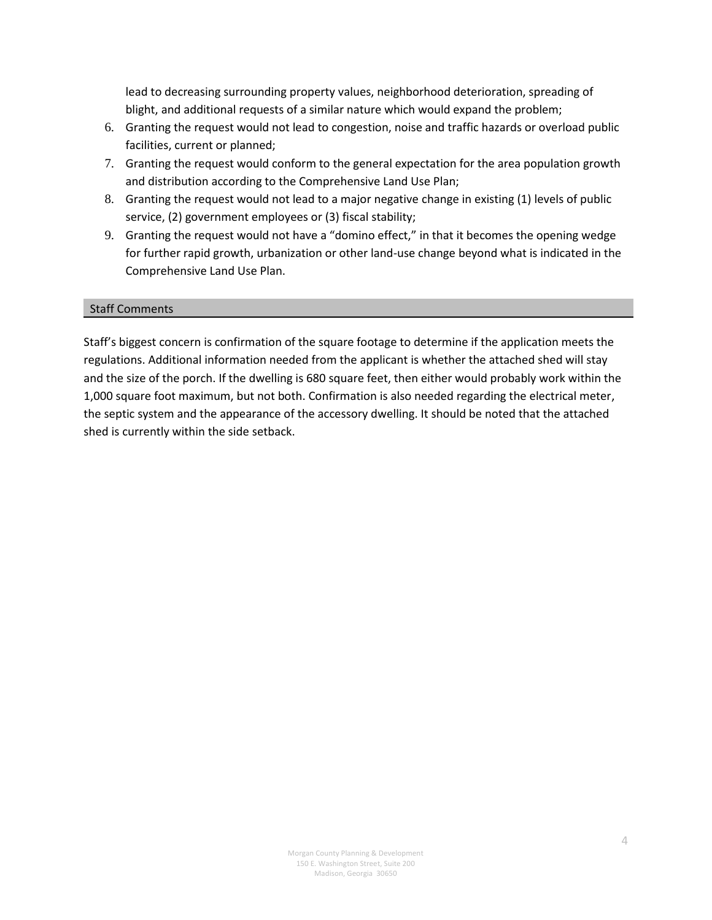lead to decreasing surrounding property values, neighborhood deterioration, spreading of blight, and additional requests of a similar nature which would expand the problem;

- 6. Granting the request would not lead to congestion, noise and traffic hazards or overload public facilities, current or planned;
- 7. Granting the request would conform to the general expectation for the area population growth and distribution according to the Comprehensive Land Use Plan;
- 8. Granting the request would not lead to a major negative change in existing (1) levels of public service, (2) government employees or (3) fiscal stability;
- 9. Granting the request would not have a "domino effect," in that it becomes the opening wedge for further rapid growth, urbanization or other land-use change beyond what is indicated in the Comprehensive Land Use Plan.

## Staff Comments

Staff's biggest concern is confirmation of the square footage to determine if the application meets the regulations. Additional information needed from the applicant is whether the attached shed will stay and the size of the porch. If the dwelling is 680 square feet, then either would probably work within the 1,000 square foot maximum, but not both. Confirmation is also needed regarding the electrical meter, the septic system and the appearance of the accessory dwelling. It should be noted that the attached shed is currently within the side setback.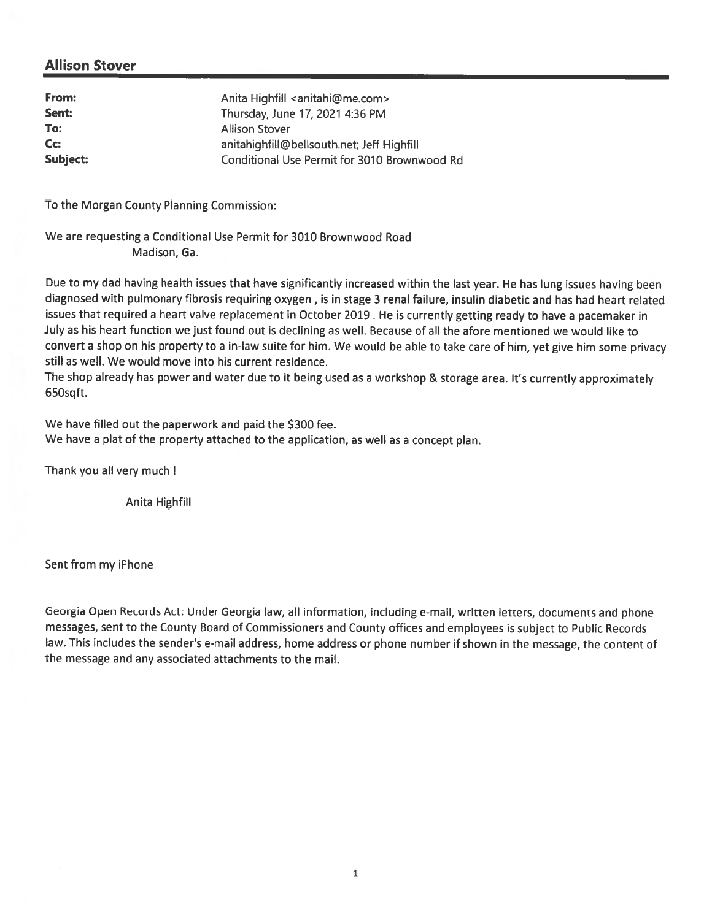## **Allison Stover**

| From:    | Anita Highfill <anitahi@me.com></anitahi@me.com> |
|----------|--------------------------------------------------|
| Sent:    | Thursday, June 17, 2021 4:36 PM                  |
| To:      | <b>Allison Stover</b>                            |
| Cc:      | anitahighfill@bellsouth.net; Jeff Highfill       |
| Subject: | Conditional Use Permit for 3010 Brownwood Rd     |

To the Morgan County Planning Commission:

We are requesting a Conditional Use Permit for 3010 Brownwood Road Madison, Ga.

Due to my dad having health issues that have significantly increased within the last year. He has lung issues having been diagnosed with pulmonary fibrosis requiring oxygen, is in stage 3 renal failure, insulin diabetic and has had heart related issues that required a heart valve replacement in October 2019. He is currently getting ready to have a pacemaker in July as his heart function we just found out is declining as well. Because of all the afore mentioned we would like to convert a shop on his property to a in-law suite for him. We would be able to take care of him, yet give him some privacy still as well. We would move into his current residence.

The shop already has power and water due to it being used as a workshop & storage area. It's currently approximately 650sqft.

We have filled out the paperwork and paid the \$300 fee. We have a plat of the property attached to the application, as well as a concept plan.

Thank you all very much !

Anita Highfill

Sent from my iPhone

Georgia Open Records Act: Under Georgia law, all information, including e-mail, written letters, documents and phone messages, sent to the County Board of Commissioners and County offices and employees is subject to Public Records law. This includes the sender's e-mail address, home address or phone number if shown in the message, the content of the message and any associated attachments to the mail.